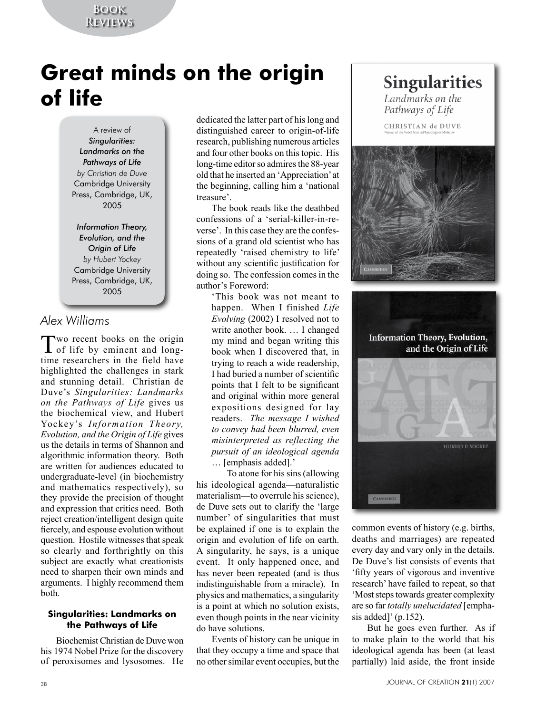### **Book Reviews**

# **Great minds on the origin of life**

A review of *Singularities: Landmarks on the Pathways of Life by Christian de Duve* Cambridge University Press, Cambridge, UK, 2005

*Information Theory, Evolution, and the Origin of Life by Hubert Yockey* Cambridge University Press, Cambridge, UK, 2005

# *Alex Williams*

Two recent books on the origin **L** of life by eminent and longtime researchers in the field have highlighted the challenges in stark and stunning detail. Christian de Duve's *Singularities: Landmarks on the Pathways of Life* gives us the biochemical view, and Hubert Yockey's *Information Theory, Evolution, and the Origin of Life* gives us the details in terms of Shannon and algorithmic information theory. Both are written for audiences educated to undergraduate-level (in biochemistry and mathematics respectively), so they provide the precision of thought and expression that critics need. Both reject creation/intelligent design quite fiercely, and espouse evolution without question. Hostile witnesses that speak so clearly and forthrightly on this subject are exactly what creationists need to sharpen their own minds and arguments. I highly recommend them both.

#### **Singularities: Landmarks on the Pathways of Life**

Biochemist Christian de Duve won his 1974 Nobel Prize for the discovery of peroxisomes and lysosomes. He

dedicated the latter part of his long and distinguished career to origin-of-life research, publishing numerous articles and four other books on this topic. His long-time editor so admires the 88-year old that he inserted an 'Appreciation' at the beginning, calling him a 'national treasure'.

The book reads like the deathbed confessions of a 'serial-killer-in-reverse'. In this case they are the confessions of a grand old scientist who has repeatedly 'raised chemistry to life' without any scientific justification for doing so. The confession comes in the author's Foreword:

'This book was not meant to happen. When I finished *Life Evolving* (2002) I resolved not to write another book. … I changed my mind and began writing this book when I discovered that, in trying to reach a wide readership, I had buried a number of scientific points that I felt to be significant and original within more general expositions designed for lay readers. *The message I wished to convey had been blurred, even misinterpreted as reflecting the pursuit of an ideological agenda*  … [emphasis added].'

To atone for his sins (allowing his ideological agenda—naturalistic materialism—to overrule his science), de Duve sets out to clarify the 'large number' of singularities that must be explained if one is to explain the origin and evolution of life on earth. A singularity, he says, is a unique event. It only happened once, and has never been repeated (and is thus indistinguishable from a miracle). In physics and mathematics, a singularity is a point at which no solution exists, even though points in the near vicinity do have solutions.

Events of history can be unique in that they occupy a time and space that no other similar event occupies, but the

# Singularities

Landmarks on the Pathways of Life

CHRISTIAN de DUVE





common events of history (e.g. births, deaths and marriages) are repeated every day and vary only in the details. De Duve's list consists of events that 'fifty years of vigorous and inventive research' have failed to repeat, so that 'Most steps towards greater complexity are so far *totally unelucidated* [emphasis added]' (p.152).

But he goes even further. As if to make plain to the world that his ideological agenda has been (at least partially) laid aside, the front inside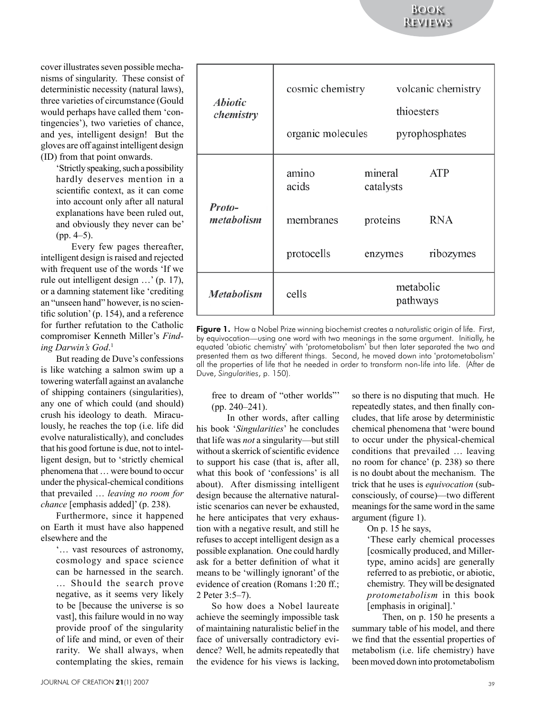**Book Reviews**

cover illustrates seven possible mechanisms of singularity. These consist of deterministic necessity (natural laws), three varieties of circumstance (Gould would perhaps have called them 'contingencies'), two varieties of chance, and yes, intelligent design! But the gloves are off against intelligent design (ID) from that point onwards.

> 'Strictly speaking, such a possibility hardly deserves mention in a scientific context, as it can come into account only after all natural explanations have been ruled out, and obviously they never can be'  $(pp. 4–5)$ .

Every few pages thereafter, intelligent design is raised and rejected with frequent use of the words 'If we rule out intelligent design …' (p. 17), or a damning statement like 'crediting an "unseen hand" however, is no scientific solution' (p. 154), and a reference for further refutation to the Catholic compromiser Kenneth Miller's *Finding Darwin's God*. 1

But reading de Duve's confessions is like watching a salmon swim up a towering waterfall against an avalanche of shipping containers (singularities), any one of which could (and should) crush his ideology to death. Miraculously, he reaches the top (i.e. life did evolve naturalistically), and concludes that his good fortune is due, not to intelligent design, but to 'strictly chemical phenomena that … were bound to occur under the physical-chemical conditions that prevailed … *leaving no room for chance* [emphasis added]' (p. 238).

Furthermore, since it happened on Earth it must have also happened elsewhere and the

'… vast resources of astronomy, cosmology and space science can be harnessed in the search. … Should the search prove negative, as it seems very likely to be [because the universe is so vast], this failure would in no way provide proof of the singularity of life and mind, or even of their rarity. We shall always, when contemplating the skies, remain

| <i><b>Abiotic</b></i><br>chemistry | cosmic chemistry<br>organic molecules |                       | volcanic chemistry<br>thioesters<br>pyrophosphates |
|------------------------------------|---------------------------------------|-----------------------|----------------------------------------------------|
|                                    |                                       |                       |                                                    |
| Proto-<br>metabolism               | amino<br>acids                        | mineral<br>catalysts  | ATP                                                |
|                                    | membranes                             | proteins              | RNA                                                |
|                                    | protocells                            | enzymes               | ribozymes                                          |
| <b>Metabolism</b>                  | cells                                 | metabolic<br>pathways |                                                    |

Figure 1. How a Nobel Prize winning biochemist creates a naturalistic origin of life. First, by equivocation—using one word with two meanings in the same argument. Initially, he equated 'abiotic chemistry' with 'protometabolism' but then later separated the two and presented them as two different things. Second, he moved down into 'protometabolism' all the properties of life that he needed in order to transform non-life into life. (After de Duve, *Singularities*, p. 150).

free to dream of "other worlds"' (pp. 240–241).

In other words, after calling his book '*Singularities*' he concludes that life was *not* a singularity—but still without a skerrick of scientific evidence to support his case (that is, after all, what this book of 'confessions' is all about). After dismissing intelligent design because the alternative naturalistic scenarios can never be exhausted, he here anticipates that very exhaustion with a negative result, and still he refuses to accept intelligent design as a possible explanation. One could hardly ask for a better definition of what it means to be 'willingly ignorant' of the evidence of creation (Romans 1:20 ff.; 2 Peter 3:5–7).

So how does a Nobel laureate achieve the seemingly impossible task of maintaining naturalistic belief in the face of universally contradictory evidence? Well, he admits repeatedly that the evidence for his views is lacking,

so there is no disputing that much. He repeatedly states, and then finally concludes, that life arose by deterministic chemical phenomena that 'were bound to occur under the physical-chemical conditions that prevailed … leaving no room for chance' (p. 238) so there is no doubt about the mechanism. The trick that he uses is *equivocation* (subconsciously, of course)—two different meanings for the same word in the same argument (figure 1).

On p. 15 he says,

'These early chemical processes [cosmically produced, and Millertype, amino acids] are generally referred to as prebiotic, or abiotic, chemistry. They will be designated *protometabolism* in this book [emphasis in original].'

Then, on p. 150 he presents a summary table of his model, and there we find that the essential properties of metabolism (i.e. life chemistry) have been moved down into protometabolism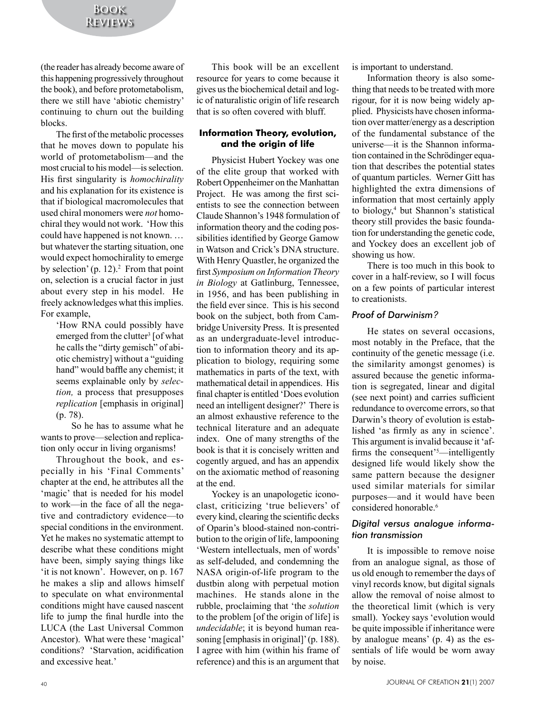(the reader has already become aware of this happening progressively throughout the book), and before protometabolism, there we still have 'abiotic chemistry' continuing to churn out the building blocks.

The first of the metabolic processes that he moves down to populate his world of protometabolism—and the most crucial to his model—is selection. His first singularity is *homochirality* and his explanation for its existence is that if biological macromolecules that used chiral monomers were *not* homochiral they would not work. 'How this could have happened is not known. … but whatever the starting situation, one would expect homochirality to emerge by selection'  $(p. 12)^2$ . From that point on, selection is a crucial factor in just about every step in his model. He freely acknowledges what this implies. For example,

'How RNA could possibly have emerged from the clutter<sup>3</sup> [of what he calls the "dirty gemisch" of abiotic chemistry] without a "guiding hand" would baffle any chemist; it seems explainable only by *selection,* a process that presupposes *replication* [emphasis in original] (p. 78).

So he has to assume what he wants to prove—selection and replication only occur in living organisms!

Throughout the book, and especially in his 'Final Comments' chapter at the end, he attributes all the 'magic' that is needed for his model to work—in the face of all the negative and contradictory evidence—to special conditions in the environment. Yet he makes no systematic attempt to describe what these conditions might have been, simply saying things like 'it is not known'. However, on p. 167 he makes a slip and allows himself to speculate on what environmental conditions might have caused nascent life to jump the final hurdle into the LUCA (the Last Universal Common Ancestor). What were these 'magical' conditions? 'Starvation, acidification and excessive heat.'

This book will be an excellent resource for years to come because it gives us the biochemical detail and logic of naturalistic origin of life research that is so often covered with bluff.

#### **Information Theory, evolution, and the origin of life**

Physicist Hubert Yockey was one of the elite group that worked with Robert Oppenheimer on the Manhattan Project. He was among the first scientists to see the connection between Claude Shannon's 1948 formulation of information theory and the coding possibilities identified by George Gamow in Watson and Crick's DNA structure. With Henry Quastler, he organized the first *Symposium on Information Theory in Biology* at Gatlinburg, Tennessee, in 1956, and has been publishing in the field ever since. This is his second book on the subject, both from Cambridge University Press. It is presented as an undergraduate-level introduction to information theory and its application to biology, requiring some mathematics in parts of the text, with mathematical detail in appendices. His final chapter is entitled 'Does evolution need an intelligent designer?' There is an almost exhaustive reference to the technical literature and an adequate index. One of many strengths of the book is that it is concisely written and cogently argued, and has an appendix on the axiomatic method of reasoning at the end.

Yockey is an unapologetic iconoclast, criticizing 'true believers' of every kind, clearing the scientific decks of Oparin's blood-stained non-contribution to the origin of life, lampooning 'Western intellectuals, men of words' as self-deluded, and condemning the NASA origin-of-life program to the dustbin along with perpetual motion machines. He stands alone in the rubble, proclaiming that 'the *solution* to the problem [of the origin of life] is *undecidable*; it is beyond human reasoning [emphasis in original]' (p. 188). I agree with him (within his frame of reference) and this is an argument that

is important to understand.

Information theory is also something that needs to be treated with more rigour, for it is now being widely applied. Physicists have chosen information over matter/energy as a description of the fundamental substance of the universe—it is the Shannon information contained in the Schrödinger equation that describes the potential states of quantum particles. Werner Gitt has highlighted the extra dimensions of information that most certainly apply to biology,<sup>4</sup> but Shannon's statistical theory still provides the basic foundation for understanding the genetic code, and Yockey does an excellent job of showing us how.

There is too much in this book to cover in a half-review, so I will focus on a few points of particular interest to creationists.

#### *Proof of Darwinism?*

He states on several occasions, most notably in the Preface, that the continuity of the genetic message (i.e. the similarity amongst genomes) is assured because the genetic information is segregated, linear and digital (see next point) and carries sufficient redundance to overcome errors, so that Darwin's theory of evolution is established 'as firmly as any in science'. This argument is invalid because it 'affirms the consequent'<sup>5</sup>—intelligently designed life would likely show the same pattern because the designer used similar materials for similar purposes—and it would have been considered honorable.<sup>6</sup>

#### *Digital versus analogue information transmission*

It is impossible to remove noise from an analogue signal, as those of us old enough to remember the days of vinyl records know, but digital signals allow the removal of noise almost to the theoretical limit (which is very small). Yockey says 'evolution would be quite impossible if inheritance were by analogue means' (p. 4) as the essentials of life would be worn away by noise.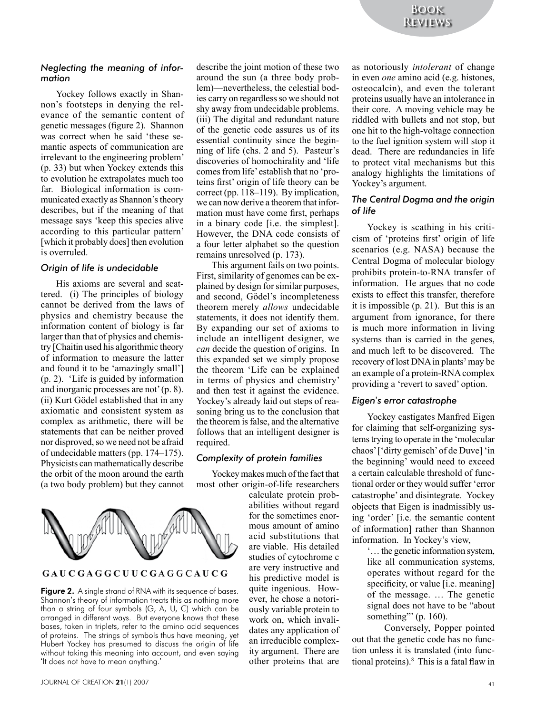#### *Neglecting the meaning of information*

Yockey follows exactly in Shannon's footsteps in denying the relevance of the semantic content of genetic messages (figure 2). Shannon was correct when he said 'these semantic aspects of communication are irrelevant to the engineering problem' (p. 33) but when Yockey extends this to evolution he extrapolates much too far. Biological information is communicated exactly as Shannon's theory describes, but if the meaning of that message says 'keep this species alive according to this particular pattern' [which it probably does] then evolution is overruled.

#### *Origin of life is undecidable*

His axioms are several and scattered. (i) The principles of biology cannot be derived from the laws of physics and chemistry because the information content of biology is far larger than that of physics and chemistry [Chaitin used his algorithmic theory of information to measure the latter and found it to be 'amazingly small'] (p. 2). 'Life is guided by information and inorganic processes are not' (p. 8). (ii) Kurt Gödel established that in any axiomatic and consistent system as complex as arithmetic, there will be statements that can be neither proved nor disproved, so we need not be afraid of undecidable matters (pp. 174–175). Physicists can mathematically describe the orbit of the moon around the earth (a two body problem) but they cannot



#### GAUCGAGGCUUCGAGGCAUCG

Figure 2. A single strand of RNA with its sequence of bases. Shannon's theory of information treats this as nothing more than a string of four symbols (G, A, U, C) which can be arranged in different ways. But everyone knows that these bases, taken in triplets, refer to the amino acid sequences of proteins. The strings of symbols thus have meaning, yet Hubert Yockey has presumed to discuss the origin of life without taking this meaning into account, and even saying 'It does not have to mean anything.'

describe the joint motion of these two around the sun (a three body problem)—nevertheless, the celestial bodies carry on regardless so we should not shy away from undecidable problems. (iii) The digital and redundant nature of the genetic code assures us of its essential continuity since the beginning of life (chs. 2 and 5). Pasteur's discoveries of homochirality and 'life comes from life' establish that no 'proteins first' origin of life theory can be correct (pp. 118–119). By implication, we can now derive a theorem that information must have come first, perhaps in a binary code [i.e. the simplest]. However, the DNA code consists of a four letter alphabet so the question remains unresolved (p. 173).

This argument fails on two points. First, similarity of genomes can be explained by design for similar purposes, and second, Gödel's incompleteness theorem merely *allows* undecidable statements, it does not identify them. By expanding our set of axioms to include an intelligent designer, we *can* decide the question of origins. In this expanded set we simply propose the theorem 'Life can be explained in terms of physics and chemistry' and then test it against the evidence. Yockey's already laid out steps of reasoning bring us to the conclusion that the theorem is false, and the alternative follows that an intelligent designer is required.

#### *Complexity of protein families*

Yockey makes much of the fact that most other origin-of-life researchers

calculate protein probabilities without regard for the sometimes enormous amount of amino acid substitutions that are viable. His detailed studies of cytochrome c are very instructive and his predictive model is quite ingenious. However, he chose a notoriously variable protein to work on, which invalidates any application of an irreducible complexity argument. There are other proteins that are

as notoriously *intolerant* of change in even *one* amino acid (e.g. histones, osteocalcin), and even the tolerant proteins usually have an intolerance in their core. A moving vehicle may be riddled with bullets and not stop, but one hit to the high-voltage connection to the fuel ignition system will stop it dead. There are redundancies in life to protect vital mechanisms but this analogy highlights the limitations of Yockey's argument.

#### *The Central Dogma and the origin of life*

Yockey is scathing in his criticism of 'proteins first' origin of life scenarios (e.g. NASA) because the Central Dogma of molecular biology prohibits protein-to-RNA transfer of information. He argues that no code exists to effect this transfer, therefore it is impossible (p. 21). But this is an argument from ignorance, for there is much more information in living systems than is carried in the genes, and much left to be discovered. The recovery of lost DNA in plants<sup>7</sup> may be an example of a protein-RNA complex providing a 'revert to saved' option.

#### *Eigen*'*s error catastrophe*

Yockey castigates Manfred Eigen for claiming that self-organizing systems trying to operate in the 'molecular chaos' ['dirty gemisch' of de Duve] 'in the beginning' would need to exceed a certain calculable threshold of functional order or they would suffer 'error catastrophe' and disintegrate. Yockey objects that Eigen is inadmissibly using 'order' [i.e. the semantic content of information] rather than Shannon information. In Yockey's view,

> '… the genetic information system, like all communication systems, operates without regard for the specificity, or value [i.e. meaning] of the message. … The genetic signal does not have to be "about something"' (p. 160).

Conversely, Popper pointed out that the genetic code has no function unless it is translated (into functional proteins).8 This is a fatal flaw in